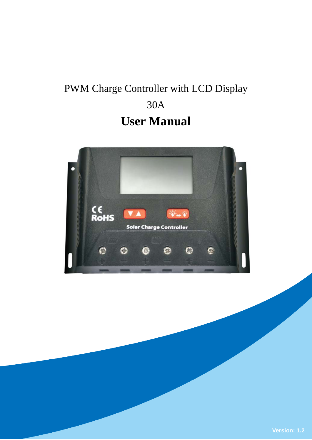# PWM Charge Controller with LCD Display 30A **User Manual**

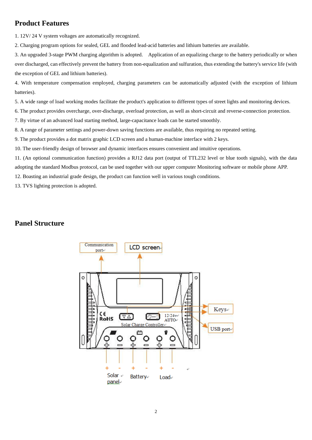# **Product Features**

1. 12V/ 24 V system voltages are automatically recognized.

2. Charging program options for sealed, GEL and flooded lead-acid batteries and lithium batteries are available.

3. An upgraded 3-stage PWM charging algorithm is adopted. Application of an equalizing charge to the battery periodically or when over discharged, can effectively prevent the battery from non-equalization and sulfuration, thus extending the battery's service life (with the exception of GEL and lithium batteries).

4. With temperature compensation employed, charging parameters can be automatically adjusted (with the exception of lithium batteries).

5. A wide range of load working modes facilitate the product's application to different types of street lights and monitoring devices.

6. The product provides overcharge, over-discharge, overload protection, as well as short-circuit and reverse-connection protection.

7. By virtue of an advanced load starting method, large-capacitance loads can be started smoothly.

8. A range of parameter settings and power-down saving functions are available, thus requiring no repeated setting.

9. The product provides a dot matrix graphic LCD screen and a human-machine interface with 2 keys.

10. The user-friendly design of browser and dynamic interfaces ensures convenient and intuitive operations.

11. (An optional communication function) provides a RJ12 data port (output of TTL232 level or blue tooth signals), with the data adopting the standard Modbus protocol, can be used together with our upper computer Monitoring software or mobile phone APP.

12. Boasting an industrial grade design, the product can function well in various tough conditions.

13. TVS lighting protection is adopted.

## **Panel Structure**

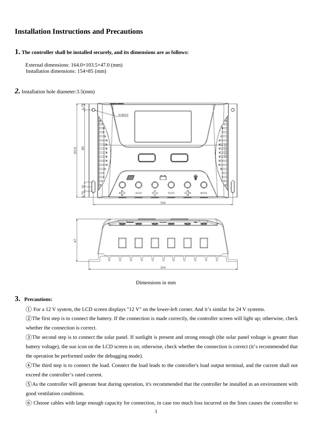#### **Installation Instructions and Precautions**

#### **1. The controller shall be installed securely, and its dimensions are as follows:**

 External dimensions: 164.0×103.5×47.0 (mm) Installation dimensions: 154×85 (mm)

#### *2.* Installation hole diameter:3.5(mm)



#### Dimensions in mm

#### **3. Precautions:**

① For a 12 V system, the LCD screen displays "12 V" on the lower-left corner. And it's similar for 24 V systems.

②The first step is to connect the battery. If the connection is made correctly, the controller screen will light up; otherwise, check whether the connection is correct.

③The second step is to connect the solar panel. If sunlight is present and strong enough (the solar panel voltage is greater than battery voltage), the sun icon on the LCD screen is on; otherwise, check whether the connection is correct (it's recommended that the operation be performed under the debugging mode).

④The third step is to connect the load. Connect the load leads to the controller's load output terminal, and the current shall not exceed the controller's rated current.

⑤As the controller will generate heat during operation, it's recommended that the controller be installed in an environment with good ventilation conditions.

⑥ Choose cables with large enough capacity for connection, in case too much loss incurred on the lines causes the controller to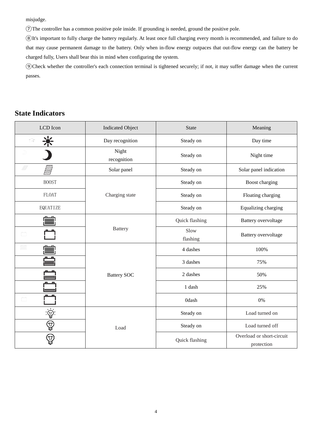misjudge.

⑦The controller has a common positive pole inside. If grounding is needed, ground the positive pole.

⑧It's important to fully charge the battery regularly. At least once full charging every month is recommended, and failure to do that may cause permanent damage to the battery. Only when in-flow energy outpaces that out-flow energy can the battery be charged fully, Users shall bear this in mind when configuring the system.

⑨Check whether the controller's each connection terminal is tightened securely; if not, it may suffer damage when the current passes.

# **State Indicators**

| LCD Icon                  | <b>Indicated Object</b> | <b>State</b>     | Meaning                                 |  |
|---------------------------|-------------------------|------------------|-----------------------------------------|--|
| $\gamma_{\rm{max}}^{(2)}$ | Day recognition         | Steady on        | Day time                                |  |
|                           | Night<br>recognition    | Steady on        | Night time                              |  |
| Ø<br>▒                    | Solar panel             | Steady on        | Solar panel indication                  |  |
| <b>BOOST</b>              |                         | Steady on        | Boost charging                          |  |
| <b>FLOAT</b>              | Charging state          | Steady on        | Floating charging                       |  |
| EQUATIZE                  |                         | Steady on        | Equalizing charging                     |  |
|                           |                         | Quick flashing   | Battery overvoltage                     |  |
|                           | <b>Battery</b>          | Slow<br>flashing | <b>Battery</b> overvoltage              |  |
|                           |                         | 4 dashes         | 100%                                    |  |
|                           | <b>Battery SOC</b>      | 3 dashes         | 75%                                     |  |
|                           |                         | 2 dashes         | 50%                                     |  |
|                           |                         | 1 dash           | 25%                                     |  |
|                           |                         | <b>Odash</b>     | $0\%$                                   |  |
|                           |                         | Steady on        | Load turned on                          |  |
| ♔                         | Load                    | Steady on        | Load turned off                         |  |
| 曷                         |                         | Quick flashing   | Overload or short-circuit<br>protection |  |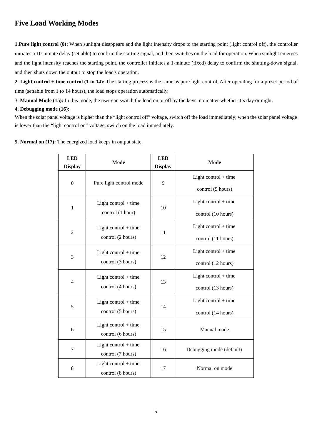# **Five Load Working Modes**

**1.Pure light control (0):** When sunlight disappears and the light intensity drops to the starting point (light control off), the controller initiates a 10-minute delay (settable) to confirm the starting signal, and then switches on the load for operation. When sunlight emerges and the light intensity reaches the starting point, the controller initiates a 1-minute (fixed) delay to confirm the shutting-down signal, and then shuts down the output to stop the load's operation.

**2. Light control + time control (1 to 14):** The starting process is the same as pure light control. After operating for a preset period of time (settable from 1 to 14 hours), the load stops operation automatically.

3. **Manual Mode (15):** In this mode, the user can switch the load on or off by the keys, no matter whether it's day or night.

#### **4. Debugging mode (16):**

When the solar panel voltage is higher than the "light control off" voltage, switch off the load immediately; when the solar panel voltage is lower than the "light control on" voltage, switch on the load immediately.

|  |  | 5. Normal on (17): The energized load keeps in output state. |  |  |
|--|--|--------------------------------------------------------------|--|--|
|--|--|--------------------------------------------------------------|--|--|

| <b>LED</b><br><b>Display</b> | Mode                                        | <b>LED</b><br><b>Display</b> | Mode                     |  |
|------------------------------|---------------------------------------------|------------------------------|--------------------------|--|
|                              | Pure light control mode                     |                              | Light control $+$ time   |  |
| $\boldsymbol{0}$             |                                             | 9                            | control (9 hours)        |  |
|                              | Light control $+$ time<br>control (1 hour)  | 10                           | Light control $+$ time   |  |
| $\mathbf{1}$                 |                                             |                              | control (10 hours)       |  |
| $\overline{2}$               | Light control $+$ time<br>control (2 hours) | 11                           | Light control $+$ time   |  |
|                              |                                             |                              | control (11 hours)       |  |
| 3                            | Light control $+$ time<br>control (3 hours) | 12                           | Light control $+$ time   |  |
|                              |                                             |                              | control (12 hours)       |  |
| $\overline{4}$               | Light control + time<br>control (4 hours)   | 13                           | Light control $+$ time   |  |
|                              |                                             |                              | control (13 hours)       |  |
| 5                            | Light control $+$ time<br>control (5 hours) | 14                           | Light control $+$ time   |  |
|                              |                                             |                              | control (14 hours)       |  |
| 6                            | Light control $+$ time<br>control (6 hours) | 15                           | Manual mode              |  |
|                              |                                             |                              |                          |  |
| 7                            | Light control $+$ time                      | 16                           | Debugging mode (default) |  |
|                              | control (7 hours)                           |                              |                          |  |
| 8                            | Light control $+$ time<br>control (8 hours) | 17                           | Normal on mode           |  |
|                              |                                             |                              |                          |  |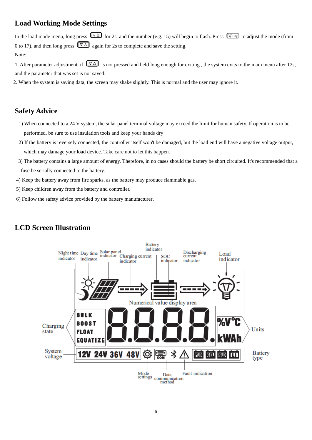# **Load Working Mode Settings**

In the load mode menu, long press  $\overline{\nabla \Delta}$  for 2s, and the number (e.g. 15) will begin to flash. Press  $\overline{\phi \rightarrow 0}$  to adjust the mode (from 0 to 17), and then long press  $\overline{\nabla \Delta}$  again for 2s to complete and save the setting. Note:

1. After parameter adjustment, if  $\sqrt{4}$  is not pressed and held long enough for exiting, the system exits to the main menu after 12s, and the parameter that was set is not saved.

2. When the system is saving data, the screen may shake slightly. This is normal and the user may ignore it.

### **Safety Advice**

- 1) When connected to a 24 V system, the solar panel terminal voltage may exceed the limit for human safety. If operation is to be performed, be sure to use insulation tools and keep your hands dry
- 2) If the battery is reversely connected, the controller itself won't be damaged, but the load end will have a negative voltage output, which may damage your load device. Take care not to let this happen.
- 3) The battery contains a large amount of energy. Therefore, in no cases should the battery be short circuited. It's recommended that a fuse be serially connected to the battery.
- 4) Keep the battery away from fire sparks, as the battery may produce flammable gas.
- 5) Keep children away from the battery and controller.
- 6) Follow the safety advice provided by the battery manufacturer.



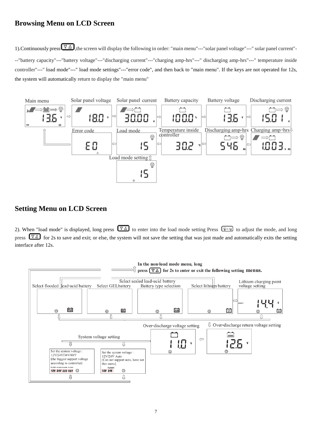# **Browsing Menu on LCD Screen**

1). Continuously press  $\nabla \Delta$ , the screen will display the following in order: "main menu"---"solar panel voltage"---" solar panel current"---"battery capacity"---"battery voltage"---"discharging current"---"charging amp-hrs"---" discharging amp-hrs"---" temperature inside controller"---" load mode"---" load mode settings"---"error code", and then back to "main menu". If the keys are not operated for 12s, the system will automatically return to display the "main menu"



# **Setting Menu on LCD Screen**

2). When "load mode" is displayed, long press  $\overline{\nabla \Delta}$  to enter into the load mode setting Press  $\overline{\mathcal{L}}$  to adjust the mode, and long press  $\boxed{\nabla \Delta}$  for 2s to save and exit; or else, the system will not save the setting that was just made and automatically exits the setting interface after 12s.

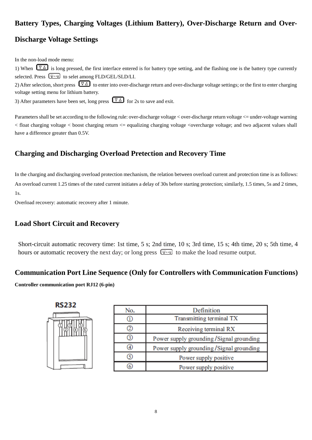# **Battery Types, Charging Voltages (Lithium Battery), Over-Discharge Return and Over-**

# **Discharge Voltage Settings**

In the non-load mode menu:

1) When  $\boxed{\nabla \Delta}$  is long pressed, the first interface entered is for battery type setting, and the flashing one is the battery type currently selected. Press  $\circled{(*)}$  to selet among FLD/GEL/SLD/LI.

2) After selection, short press  $\overline{\nabla \Delta}$  to enter into over-discharge return and over-discharge voltage settings; or the first to enter charging voltage setting menu for lithium battery.

3) After parameters have been set, long press  $\boxed{\nabla \Delta}$  for 2s to save and exit.

Parameters shall be set according to the following rule: over-discharge voltage < over-discharge return voltage <= under-voltage warning  $\epsilon$  float charging voltage  $\epsilon$  boost charging return  $\epsilon$  equalizing charging voltage  $\epsilon$  overcharge voltage; and two adjacent values shall have a difference greater than 0.5V.

# **Charging and Discharging Overload Pretection and Recovery Time**

In the charging and discharging overload protection mechanism, the relation between overload current and protection time is as follows: An overload current 1.25 times of the rated current initiates a delay of 30s before starting protection; similarly, 1.5 times, 5s and 2 times, 1s.

Overload recovery: automatic recovery after 1 minute.

# **Load Short Circuit and Recovery**

Short-circuit automatic recovery time: 1st time, 5 s; 2nd time, 10 s; 3rd time, 15 s; 4th time, 20 s; 5th time, 4 hours or automatic recovery the next day; or long press  $\circledast$  to make the load resume output.

## **Communication Port Line Sequence (Only for Controllers with Communication Functions)**

**Controller communication port RJ12 (6-pin)**

 $\overline{\phantom{a}}$ 

| RS232 |
|-------|
|       |
|       |
|       |

| No. | Definition                                |
|-----|-------------------------------------------|
| Ш   | Transmitting terminal TX                  |
| 2   | Receiving terminal RX                     |
| 3   | Power supply grounding / Signal grounding |
| ④   | Power supply grounding / Signal grounding |
| (5) | Power supply positive                     |
| 6   | Power supply positive                     |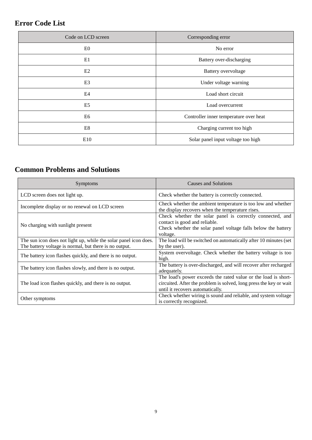# **Error Code List**

| Code on LCD screen | Corresponding error                    |  |
|--------------------|----------------------------------------|--|
| E <sub>0</sub>     | No error                               |  |
| E1                 | Battery over-discharging               |  |
| E <sub>2</sub>     | Battery overvoltage                    |  |
| E <sub>3</sub>     | Under voltage warning                  |  |
| E4                 | Load short circuit                     |  |
| E <sub>5</sub>     | Load overcurrent                       |  |
| E6                 | Controller inner temperature over heat |  |
| E8                 | Charging current too high              |  |
| E10                | Solar panel input voltage too high     |  |

# **Common Problems and Solutions**

| Symptoms                                                                                                                   | Causes and Solutions                                                                                                                                                     |
|----------------------------------------------------------------------------------------------------------------------------|--------------------------------------------------------------------------------------------------------------------------------------------------------------------------|
| LCD screen does not light up.                                                                                              | Check whether the battery is correctly connected.                                                                                                                        |
| Incomplete display or no renewal on LCD screen                                                                             | Check whether the ambient temperature is too low and whether<br>the display recovers when the temperature rises.                                                         |
| No charging with sunlight present                                                                                          | Check whether the solar panel is correctly connected, and<br>contact is good and reliable.<br>Check whether the solar panel voltage falls below the battery<br>voltage.  |
| The sun icon does not light up, while the solar panel icon does.<br>The battery voltage is normal, but there is no output. | The load will be switched on automatically after 10 minutes (set<br>by the user).                                                                                        |
| The battery icon flashes quickly, and there is no output.                                                                  | System overvoltage. Check whether the battery voltage is too<br>high.                                                                                                    |
| The battery icon flashes slowly, and there is no output.                                                                   | The battery is over-discharged, and will recover after recharged<br>adequately.                                                                                          |
| The load icon flashes quickly, and there is no output.                                                                     | The load's power exceeds the rated value or the load is short-<br>circuited. After the problem is solved, long press the key or wait<br>until it recovers automatically. |
| Other symptoms                                                                                                             | Check whether wiring is sound and reliable, and system voltage<br>is correctly recognized.                                                                               |